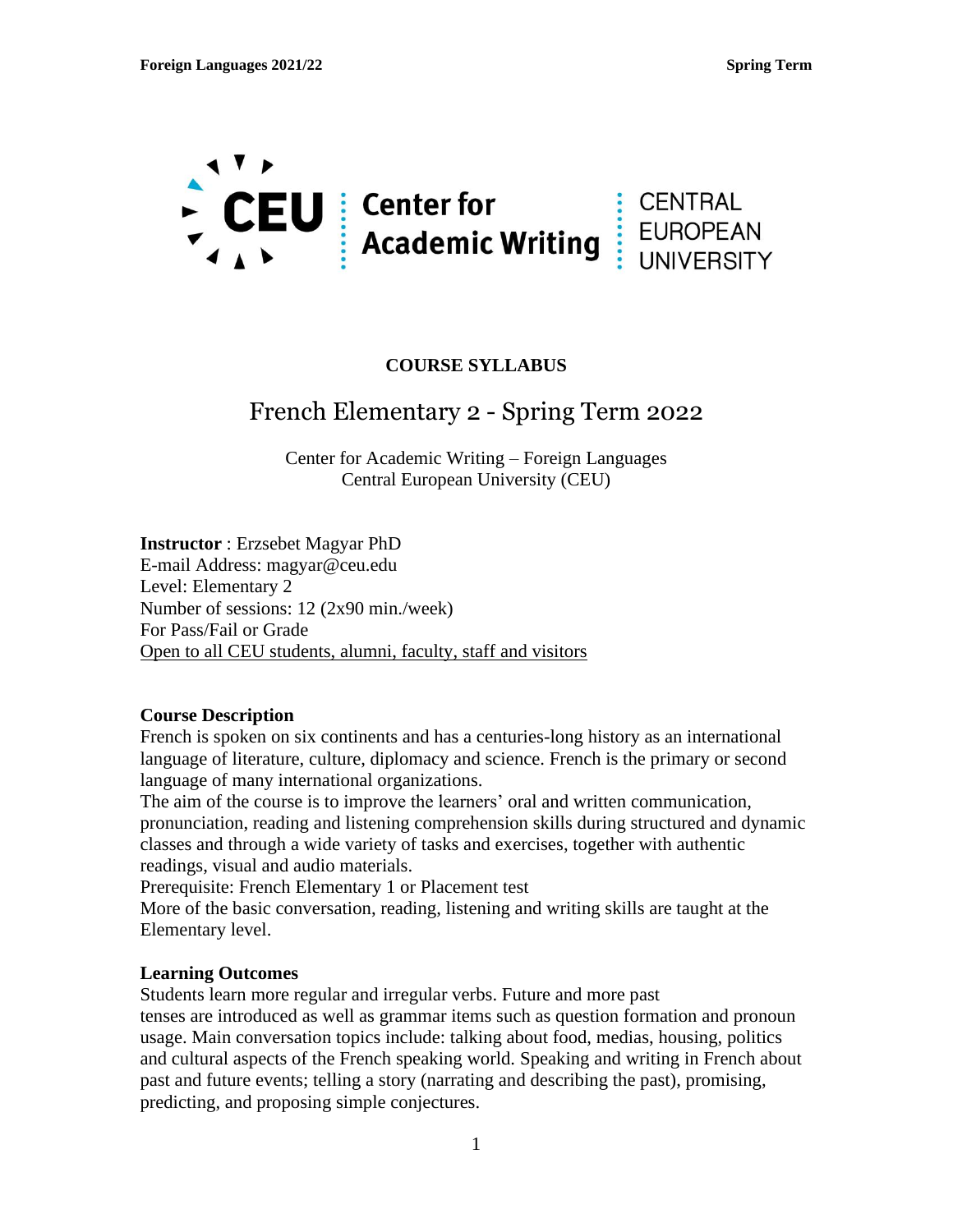

## **COURSE SYLLABUS**

# French Elementary 2 - Spring Term 2022

Center for Academic Writing – Foreign Languages Central European University (CEU)

**Instructor** : Erzsebet Magyar PhD E-mail Address: magyar@ceu.edu Level: Elementary 2 Number of sessions: 12 (2x90 min./week) For Pass/Fail or Grade Open to all CEU students, alumni, faculty, staff and visitors

### **Course Description**

French is spoken on six continents and has a centuries-long history as an international language of literature, culture, diplomacy and science. French is the primary or second language of many international organizations.

The aim of the course is to improve the learners' oral and written communication, pronunciation, reading and listening comprehension skills during structured and dynamic classes and through a wide variety of tasks and exercises, together with authentic readings, visual and audio materials.

Prerequisite: French Elementary 1 or Placement test

More of the basic conversation, reading, listening and writing skills are taught at the Elementary level.

### **Learning Outcomes**

Students learn more regular and irregular verbs. Future and more past tenses are introduced as well as grammar items such as question formation and pronoun usage. Main conversation topics include: talking about food, medias, housing, politics and cultural aspects of the French speaking world. Speaking and writing in French about past and future events; telling a story (narrating and describing the past), promising, predicting, and proposing simple conjectures.